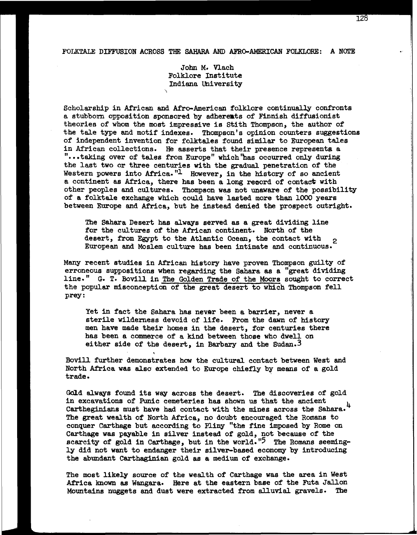## **FOLKTALE DIFFUSION ACROSS THE SAHARA AND AFRO-AMERICAN FOLKLORE: A NOTE**

John **M.** Vlach Folklore Institute Indiana University

Scholarship in African and Afro-American folklore continually confronts a stubborn opposition sponsored by adherents of Finnish diffusionist theories of whom the most impressive is Stith Thompson, the author of the tale type and motif indexes. Thompson's opinion counters suggestions of independent invention for folktales found similar to European tales<br>in African collections. He asserts that their presence represents a "...taking over of tales from Europe" which "has occurred only during the last two or three centuries with the **gradual** penetration of the Western powers into Africa."1 However, in the history of so ancient a continent as Africa, there has been a long record of contact with other peoples and cultures. Thompson was not unaware of the possibility of a folktale exchange which could have lasted more than **1000** years between Europe and Africa, but he instead denied the prospect outright.

The Sahara Desert has always served as a great dividing line for the cultures of the African continent. North of the desert, from Egypt to the Atlantic Ocean, the contact with desert, from Egypt to the Atlantic Ocean, the contact with  $\frac{1}{2}$ <br>European and Moslem culture has been intimate and continuous.

Many recent studies in African history have proven Thompson guilty of erroneous suppositions when regarding the Sahara **as** a "great dividing line." G. T. Bovill in The Golden Trade of the Moors sought to correct the popular misconception of the great desert to which Thompson fell prey :

Yet in fact the Sahara has never been a barrier, never a sterile wilderness devoid of life. **From** the dam of history men have made their homes in the desert, for centuries there has been a commerce of a kind between those who dwell on either side of the desert, in Barbary and the Sudan. $3$ 

Bovill further demonstrates how the cultural contact between West and North Africa was also extended to Europe chiefly by means of a gold trade.

**t** 

Gdld always found its way across the desert. The discoveries of gold in excavations of Punic cemeteries has shown us that the ancient Cartheginians must have **had** contact with the mines across the Sahara. <sup>4</sup> The great wealth of North Africa, no doubt encouraged the Romans to conquer Carthage but according to **Pliny** "the fine imposed by Rome on Carthage was payable in silver instead of gold, not because of the scarcity of gold in Carthage, but in the world.<sup>15</sup> The Romans seemingly did not want to endanger their silver-based economy by introducing the abundant Carthaginian gold as a medium of exchange.

The most likely source of the wealth of Carthage was the area in West Africa known as Wangara. Here at the eastern base of the Futa Jallon<br>Mountains nuggets and dust were extracted from alluvial gravels. The Mountains nuggets and dust were extracted from alluvial gravels.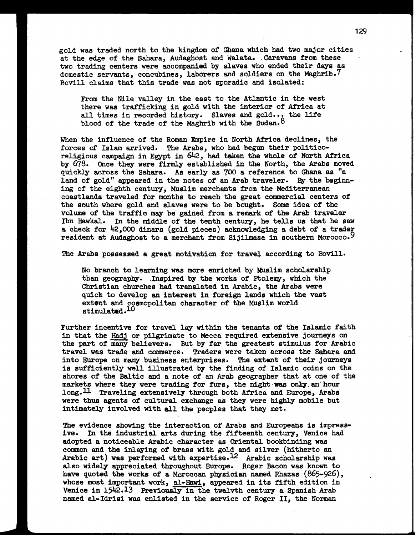gold was traded north to the kingdom of Ghana which **had** two major cities at the edge of the Sahara, Audaghost and Walata. .Caravans from these two trading centers were accompanied by slaves who ended their days as domestic servants, concubines, laborers and soldiers on the Maghrib. 7 Bovill claims that this trade was not sporadic and isolated:

From the Nile valley in the east to the Atlantic in the west there was trafficking in gold with the interior of Africa at all times in recorded history. Slaves and gold... the life blood of the trade of the Maghrib with the Sudan. $8$ 

When the influence of the Roman Empire in North Africa declines, the forces **of** Islam arrived. The Arabs, who had begun their politicoreligious campaign in Egypt in  $642$ , had taken the whole of North Africa by 678. Once they were firmly established in the North, the Arabs moved quickly across the Sahara. As early as 700 a reference to Ghana as "a land of gold" appeared in the notes of an Arab traveler. By the beginning of the eighth century, Muslim merchants from the Mediterranean coastlands traveled for months to reach the great commercial centers of the south where gold and slaves were to be bought. Some idea of the volume of the traffic may be gained from a remark of the Arab traveler Ibn Hawkale In the middle of the tenth century, he tells us that he saw a check for **42,000** dinars (gold pieces) acknowledging a debt of a trader resident at Audaghost to a merchant from Sijilmasa in southern Morocco.<sup>9</sup>

The Arabs possessed a great motivation for travel according to Bovill.

No branch to learning was more enriched by Muslim scholarship than geography. Inspired by the works of Ptolemy, which the Christian churches **had** translated in Arabic, the Arabs were quick to develop an interest in foreign landa which the vast extent and cosmopolitan character of the Muslim world stimulated. $^{10}$ 

Further incentive for travel **lay** within the tenants of the Islamic faith in that the Hadj or pilgrimate to Mecca required extensive journeys on the part of many believers. But by far the greatest stimulus for Arabic travel **was** trade and commerce. Traders were taken across the Sahara and into **Europe** on many business enterprises. The extent of their journeys is sufficiently well illustrated by the finding of Islamic coins on the shores of the Baltic and a note of **an** Arab geographer that at one of the markets where they were trading for furs, the night was only an'hour 1ong.U Traveling extensively through both Africa **and** Europe, Arabs were thus agents of cultural exchange as they were **highly** mobile but intimately involved with all the peoples that they met.

The evidence showing the interaction of Arabs and Europeans is impressive. In the industrial arts during the fifteenth century, Venice had adopted a noticeable Arabic character **as** Oriental bookbinding was common and the inlaying of brass with gold and silver (hitherto an Arabic art) was performed with expertise.<sup>12</sup> Arabic scholarship was also widely appreciated throughout Europe. Roger Bacon was known to have quoted the works of a Moroccan physician named Rhazas (865-926), whose most important work, al-Hawi, appeared in its fifth edition in Venice in 1542.13 Previously in the twelvth century a Spanish Arab named al-Idrisi was enlisted in the service of Roger 11, the Norman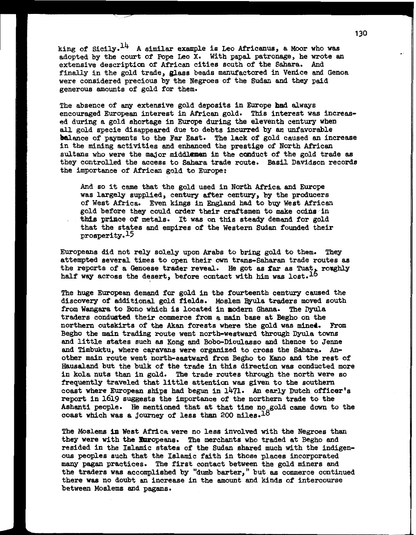**king** of sicily.14 **A** similar example is Leo Africanus, a Moor who **was**  adopted by the court of Pope Leo **X.** With papal patronage, he wrote an extensive description of African cities south of the Sahara. And finally in the gold trade, glass beads manufactored in Venice and Genoa were considered precious by the Negroes of the Sudan and they paid generous amounts of gold for them.

The absence of any extensive gold deposits in Europe **had** always encouraged European interest in African gold. This interest was increased during a gold shortage in Europe during the eleventh century when **all** gold specie disappeared due to debts incurred by an unfavorable kilance of payments to the **Par** East. **The** lack of gold caused an increase in the **mining** activities and enhanced the prestige of North African sultans who were the major middlemen in the conduct of the gold trade as they controlled the access to Sahara trade route. Basil Davidson records the importance of African gold to Europe:

And so it **came** that the gold used in North Africa and Europe was largely supplied, century after century, by the producers of West Africa. Even kings in England had to buy West African gold before they could order their craftsmen to make coins in this prince of metals. It was on this steady demand for gold that the states and empires of the Western Sudan founded their prosperity.15

Europeans did not rely solely upon Arabs to bring gold to them. They attempted several times to open their own trans-Saharan trade routes **a8**  the reports of a Genoese trader reveal. He got as far as Tuat, rowghly half way across the desert, before contact with him was lost.<sup>16</sup>

The huge **European** demand for gold in the fourteenth century caused the discovery of additional gold fields. Moslem Byula traders moved south from Wangara to Bono which is located in modern Ghana. The Dyula traders conduated their commerce from a main base at Begho on the northern outskirts of the Ahan forests where the gold was mined. **From**  Begho the main trading route went north-westward through Dyula towns and little states such **as** Kong and Bobo-Dioulasso and thence to Jenne and Timbuktu, where caravans were organized to cross the Sahara. Another main route went north-eastward from Begho to Kano **and** the rest of Hausaland but the bulk of the trade in this direction was conducted more in kola nuts than in gold. The trade routes through the north were so frequently traveled that little attention was given to the southern coast where European ships **had** begun in 1471. An early Dutch officer's report in 1619 suggests the importance **of** the northern trade to the Ashanti people. He mentioned that at that time no gold came down to the coast which was a journey of less than 200 miles.<sup>18</sup>

The Moslems **36** Nest Africa were no less involved with the Negroes than they were with the Furopeans. The merchants who traded at Begho and resided in the Islamic states of the Sudan shared much with the indigen**ous** peoples such that the Islamic faith in those places incorporated *many* pagan practices. The first contact between the gold miners and the traders was accomplished by "dumb barter, " but **as** commerce continued there **was** no doubt an increase in the amount and kinds of intercourse between Moslems and pagans.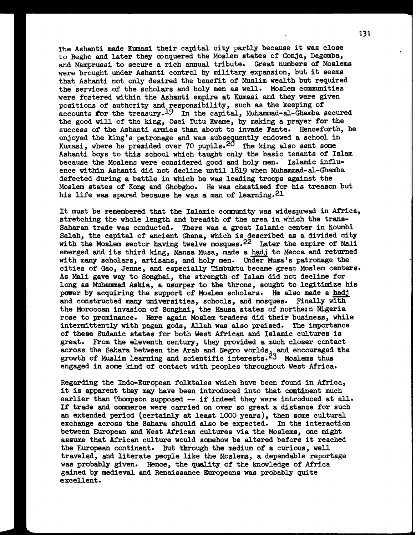The Ashanti made Kumasi their capital city partly because it was close to Begho and later they conquered the Moslem states of Gonja, Dagomba, **and** Mamprussi to secure a rich annual tribute. Great numbers of Moslems were brought under Ashanti control by military expansion, but it seems that Ashanti not only desired the benefit of Muslim wealth but required the services of the scholars and holy men as well. Moslem communities were fostered within the Ashanti empire at Kumasi and they were given positions of authority and responsibility, such as the keeping of accounts for the treasury.<sup>19</sup> In the capital, Muhammad-al-Ghamba secured the good will of the king, Osei Tutu Kwame, by making a prayer **for** the success of the Ashanti armies then about to invade Fante. Henceforth, he enjoyed the king's patronage and was subsequently endowed a school in Kumasi, where he presided over **70** pupils.28 The king also sent some Ashanti boys to this school which taught only the basic tenants of Islam because the Moslems were considered good and holy men. Islamic influence within Ashanti did not decline until 1819 when Muhammad-al-Ghamba defected during a battle in which he was leading troops against the Moslem states of Kong and Ghobgho. He was chastised for his treason but his life was spared because he was a man of learning.<sup>21</sup>

It must be remembered that the Islamic community was widespread in Africa, stretching the whole length **and** breadth of the area in which the trans-Saharan trade was conducted. There was a great Islamic center in Koumbi Saleh, the capital of ancient Ghana, which is described as a divided city with the Moslem sector having twelve mosques.<sup>22</sup> Later the empire of Mali emerged and its third king, Mansa Musa, made a hadj to Mecca and returned with many scholars, artisans, and holy men. Under Musa's patronage the cities of Gao, Jenne, and especially Timbuktu became great Moslem centers. As Mali gave **way** to Songhai, the strength of Islam did not decline for long as **Muhammad** Askia, a usurper to the throne, sought to legitimize his As Mali gave way to Songhai, the strength of Islam did not decline for<br>long as Muhammad Askia, a usurper to the throne, sought to legitimize his<br>power by acquiring the support of Moslem scholars. He also made a *hadj*<br>and and constructed many universities, schools, and mosques. Finally with the Moroccan invasion of Songhai, the Hausa states of northern Nigeria rose to prominence. Here again Moslem traders did their business, **while**  intermittently with pagan gods, **Allah** was also praised. The importance of these Sudanic states for both West African and Islamic cultures is great. From the eleventh century, they provided a much closer contact across the Sahara between the Arab and Negro worlds, and encouraged the growth of Muslim learning and scientific interests.<sup>23</sup> Moslems thus engaged in some kind of contact with peoples throughout West Africa.

Regarding the Indo-European folktales which have been found in Africa, it is apparent they may have been introduced into that continent much earlier than Thompson supposed -- if indeed they were introduced at all. If trade and commerce were carried on over so great a distance for such an extended period (certainly at least 1000 years), then some cultural exchange across the Sahara should also be expected. In the interaction between European and West African cultures via the Moslems, one might assume that African culture would somehow be altered before it reached the European continent. But through the medium of a curious, well traveled, and literate people like the Moslems, a dependable reportage was probably given. Hence, the quality of the knowledge of Africa gained by medieval and Renaissance Europeans was probably quite excellent.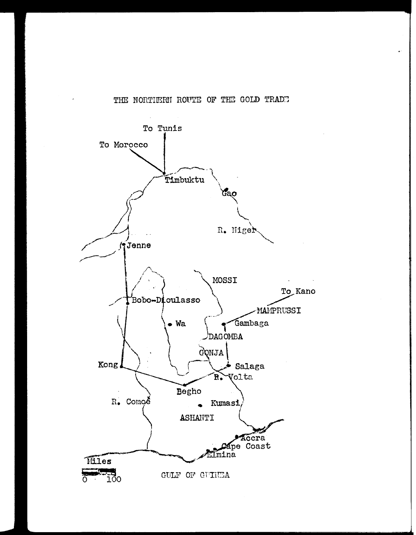## THE NORTHERN ROUTE OF THE GOLD TRADE

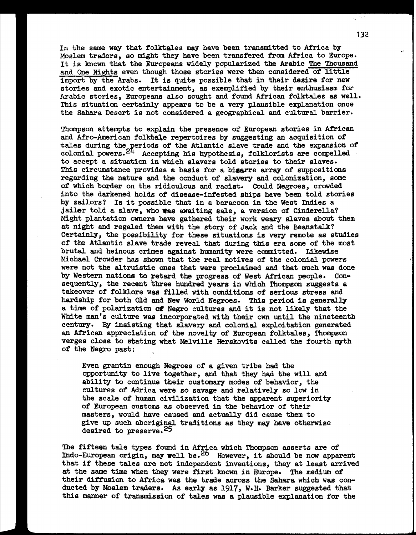In the same way that folktales may have been transmitted to Africa by Moslem traders, so might they have been transfered from Africa to Europe. It is known that the Europeans widely popularized the Arabic The Thousand and One Nights even though those stories were then considered of little import by the Arabs. It is quite possible that in their desire for new stories and exotic entertainment, **as** exemplified by their enthusiasm for Arabic stories, Europeans also sought and found African folktales **as** well. This situation certainly appears to be a very plausible explanation once the Sahara Desert is not considered a geographical and cultural barrier.

Thompson attempts to explain the presence of European stories in African and Afro-American folktale repertoires by suggesting an acquisition of tales during the periods of the Atlantic slave trade and the expansion of colonial powers.<sup>24</sup> Accepting his hypothesis, folklorists are compelled to accept a situation in which slavers told stories to their slaves. This circumstance provides a basis for a bisarre array of suppositions regarding the nature and the conduct of slavery and colonization, some of which border on the ridiculous and racist. Could Negroes, crowded into the darkened holds of disease-infested ships have been told stories by sailors? Is it possible that in a baracoon in the West Indies a jailer told a slave, who was awaiting sale, a version of Cinderella? Might plantation owners have gathered their work **weary** slaves about them at night and regaled them with the story of Jack and the Beanstalk? Certainly, the possibility for these situations is very remote as studies of the Atlantic slave trade reveal that during this era some of the most brutal and heinous crimes against humanity were committed. Likewise Michael Crowder has shown that the real motives of the colonial powers were not the altruistic ones that were proclaimed **and** that much was done by Western nations **to** retard the progress of West African people. Consequently, the recent three hundred years in which Thompson suggests a takeover of folklore was filled with conditions of serious stress and hardship for both Old **and** New World Negroes. **This** period is generally a time of polarization of Negro cultures and it is not likely that the White man's culture **was** incorporated with their own until the nineteenth century. By insisting that slavery and colonial exploitation generated an African appreciation of the novelty of European folktales, Thompson verges close to stating what Melville Herskovits called the fourth myth of the Negro past:

Even grantin enough Negroes of a given tribe had the opportunity to live together, and that they had the will and ability to continue their customary modes of behavior, the cultures of Adrica were so savage and relatively so low in the scale of human civilization that the apparent superiority of European customs as observed in the behavior of their masters, would **have** caused and actually did cause them to give up such aboriginal traditions as they may have otherwise desired to preserve. **25** 

The fifteen tale types found in Africa which Thompson asserts are of Indo-European origin, may well be.<sup>26</sup> However, it should be now apparent that if these tales are not independent inventions, they at least arrived at the same time when they were first **known** in Europe. The medium of their diffusion to Africa **was** the trade across the Sahara which was conducted by Moslem traders. As early as 1917, **W. H.** Barker suggested that this manner of transmission of tales was a plausible explanation for the

132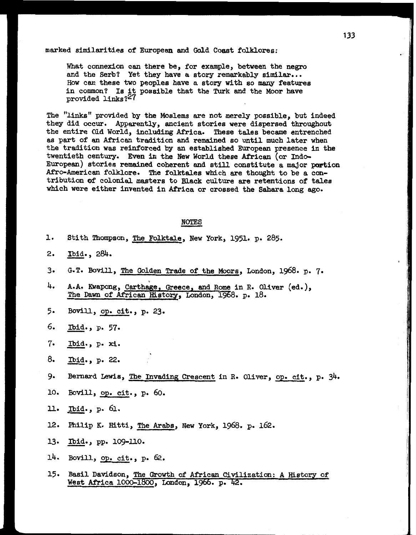## marked similarities of European and Gold Coast folklores:

What connexion can there be, for example, between the negro and the Serb? Yet they have a story remarkably similar... How can these two peoples have a story with so many features in common? Is it possible that the **Turk** and the Moor **have**  provided links? $27$ 

The "links" provided by the Moslems are not merely possible, but indeed they did occur. Apparently, ancient stories were dispersed throughout the entire Old World, including Africa. These tales became entrenched as part of an African tradition and remained so until much later when the tradition was reinforced by an established European presence in the twentieth century. Even in the New World these African (or Indo- European) stories remained coherent and still constitute a major portion Afro-American folklore. The folktdes which are thought to be a contribution of colonial masters to Black culture are retentions of tales which were either invented in Africa or crossed the Sahara long ago. nt and still<br>tales which<br>Black culture<br>ica or cross<br><u>NOTES</u><br>. New York.

| ı.                        | Stith Thompson, The Folktale, New York, 1951. p. 285.                                                             |
|---------------------------|-------------------------------------------------------------------------------------------------------------------|
| 2.                        | Ibid., 284.                                                                                                       |
| 3.                        | G.T. Bovill, The Golden Trade of the Moors, London, 1968. p. 7.                                                   |
| 4.                        | A.A. Kwapong, Carthage, Greece, and Rome in R. Oliver (ed.),<br>The Dawn of African History, London, 1968. p. 18. |
| 5.                        | Bovill, op. cit., p. 23.                                                                                          |
| 6.                        | Ibid., p. 57.                                                                                                     |
| 7.                        | Ibid., p. xi.                                                                                                     |
| 8.                        | Ibid., p. 22.                                                                                                     |
| 9.                        | Bernard Lewis, The Invading Crescent in R. Oliver, op. cit., p. 34.                                               |
| 10.                       | Bovill, op. cit., p. 60.                                                                                          |
| $\mathbf{\mathfrak{u}}$ . | Ibid., p. 61.                                                                                                     |
| 12.                       | Philip K. Hitti, The Arabs, New York, 1968. p. 162.                                                               |
| 13.                       | Ibid., pp. 109-110.                                                                                               |
| 14.                       | Bovill, op. cit., p. 62.                                                                                          |
| 15.                       | Basil Davidson, The Growth of African Civilization: A History of<br>West Africa 1000-1800, London, 1966. p. 42.   |